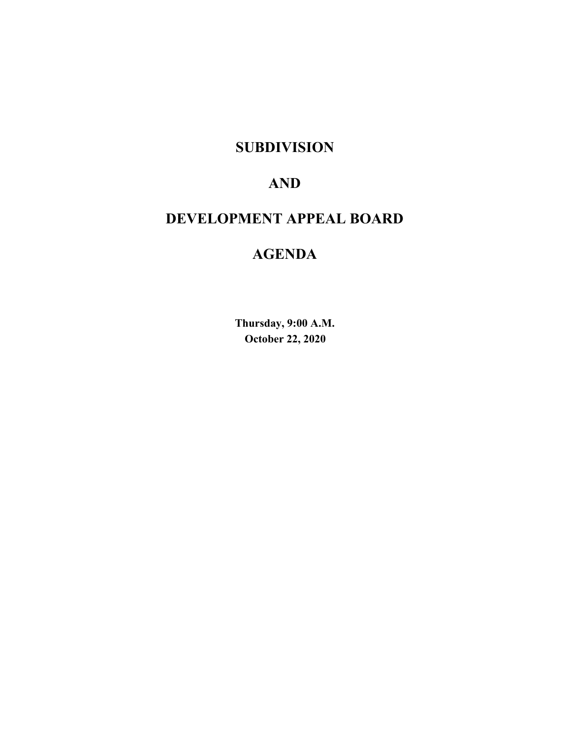# **SUBDIVISION**

# **AND**

# **DEVELOPMENT APPEAL BOARD**

# **AGENDA**

**Thursday, 9:00 A.M. October 22, 2020**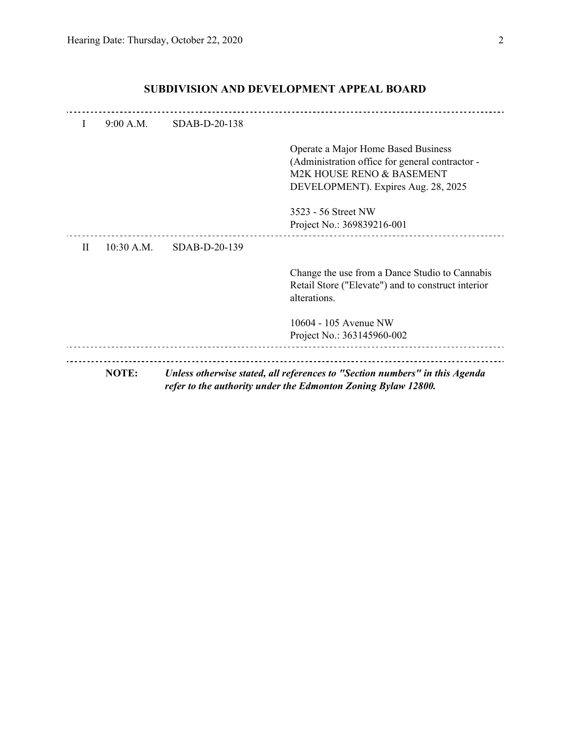| I            | 9:00 A.M.  | SDAB-D-20-138 |                                                                                                                                              |
|--------------|------------|---------------|----------------------------------------------------------------------------------------------------------------------------------------------|
|              |            |               | Operate a Major Home Based Business                                                                                                          |
|              |            |               | (Administration office for general contractor -<br>M2K HOUSE RENO & BASEMENT                                                                 |
|              |            |               | DEVELOPMENT). Expires Aug. 28, 2025                                                                                                          |
|              |            |               | 3523 - 56 Street NW                                                                                                                          |
|              |            |               | Project No.: 369839216-001                                                                                                                   |
| $\mathbf{H}$ | 10:30 A.M. | SDAB-D-20-139 |                                                                                                                                              |
|              |            |               | Change the use from a Dance Studio to Cannabis<br>Retail Store ("Elevate") and to construct interior<br>alterations.                         |
|              |            |               | 10604 - 105 Avenue NW                                                                                                                        |
|              |            |               | Project No.: 363145960-002                                                                                                                   |
|              |            |               |                                                                                                                                              |
|              | NOTE:      |               | Unless otherwise stated, all references to "Section numbers" in this Agenda<br>refer to the authority under the Edmonton Zoning Bylaw 12800. |

# **SUBDIVISION AND DEVELOPMENT APPEAL BOARD**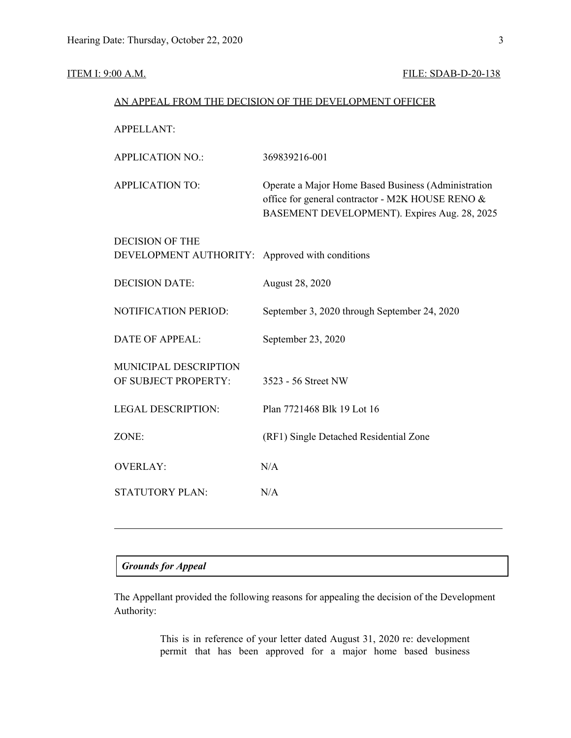#### **ITEM I: 9:00 A.M. FILE: SDAB-D-20-138**

| AN APPEAL FROM THE DECISION OF THE DEVELOPMENT OFFICER |                                                                                                                                                         |  |
|--------------------------------------------------------|---------------------------------------------------------------------------------------------------------------------------------------------------------|--|
| <b>APPELLANT:</b>                                      |                                                                                                                                                         |  |
| <b>APPLICATION NO.:</b>                                | 369839216-001                                                                                                                                           |  |
| <b>APPLICATION TO:</b>                                 | Operate a Major Home Based Business (Administration<br>office for general contractor - M2K HOUSE RENO &<br>BASEMENT DEVELOPMENT). Expires Aug. 28, 2025 |  |
| <b>DECISION OF THE</b><br>DEVELOPMENT AUTHORITY:       | Approved with conditions                                                                                                                                |  |
| <b>DECISION DATE:</b>                                  | August 28, 2020                                                                                                                                         |  |
| NOTIFICATION PERIOD:                                   | September 3, 2020 through September 24, 2020                                                                                                            |  |
| <b>DATE OF APPEAL:</b>                                 | September 23, 2020                                                                                                                                      |  |
| MUNICIPAL DESCRIPTION<br>OF SUBJECT PROPERTY:          | 3523 - 56 Street NW                                                                                                                                     |  |
| <b>LEGAL DESCRIPTION:</b>                              | Plan 7721468 Blk 19 Lot 16                                                                                                                              |  |
| ZONE:                                                  | (RF1) Single Detached Residential Zone                                                                                                                  |  |
| <b>OVERLAY:</b>                                        | N/A                                                                                                                                                     |  |
| <b>STATUTORY PLAN:</b>                                 | N/A                                                                                                                                                     |  |

# *Grounds for Appeal*

The Appellant provided the following reasons for appealing the decision of the Development Authority:

> This is in reference of your letter dated August 31, 2020 re: development permit that has been approved for a major home based business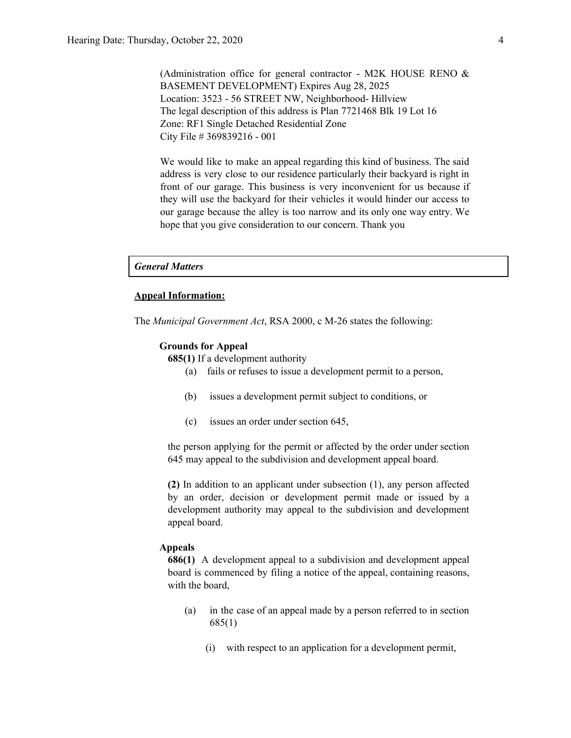(Administration office for general contractor - M2K HOUSE RENO  $\&$ BASEMENT DEVELOPMENT) Expires Aug 28, 2025 Location: 3523 - 56 STREET NW, Neighborhood- Hillview The legal description of this address is Plan 7721468 Blk 19 Lot 16 Zone: RF1 Single Detached Residential Zone City File # 369839216 - 001

We would like to make an appeal regarding this kind of business. The said address is very close to our residence particularly their backyard is right in front of our garage. This business is very inconvenient for us because if they will use the backyard for their vehicles it would hinder our access to our garage because the alley is too narrow and its only one way entry. We hope that you give consideration to our concern. Thank you

#### *General Matters*

#### **Appeal Information:**

The *Municipal Government Act*, RSA 2000, c M-26 states the following:

#### **Grounds for Appeal**

**685(1)** If a development authority

- (a) fails or refuses to issue a development permit to a person,
- (b) issues a development permit subject to conditions, or
- (c) issues an order under section 645,

the person applying for the permit or affected by the order under section 645 may appeal to the subdivision and development appeal board.

**(2)** In addition to an applicant under subsection (1), any person affected by an order, decision or development permit made or issued by a development authority may appeal to the subdivision and development appeal board.

#### **Appeals**

**686(1)** A development appeal to a subdivision and development appeal board is commenced by filing a notice of the appeal, containing reasons, with the board,

- (a) in the case of an appeal made by a person referred to in section 685(1)
	- (i) with respect to an application for a development permit,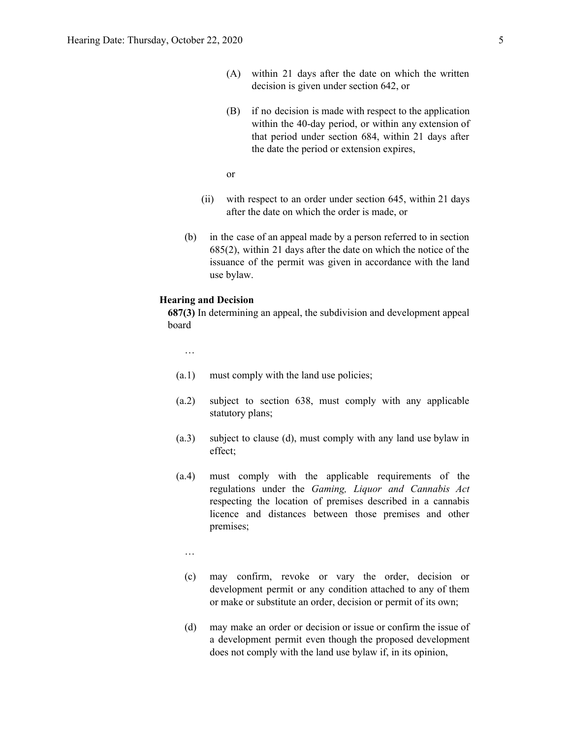- (A) within 21 days after the date on which the written decision is given under section 642, or
- (B) if no decision is made with respect to the application within the 40-day period, or within any extension of that period under section 684, within 21 days after the date the period or extension expires,

or

- (ii) with respect to an order under section 645, within 21 days after the date on which the order is made, or
- (b) in the case of an appeal made by a person referred to in section 685(2), within 21 days after the date on which the notice of the issuance of the permit was given in accordance with the land use bylaw.

#### **Hearing and Decision**

**687(3)** In determining an appeal, the subdivision and development appeal board

…

- (a.1) must comply with the land use policies;
- (a.2) subject to section 638, must comply with any applicable statutory plans;
- (a.3) subject to clause (d), must comply with any land use bylaw in effect;
- (a.4) must comply with the applicable requirements of the regulations under the *Gaming, Liquor and Cannabis Act* respecting the location of premises described in a cannabis licence and distances between those premises and other premises;

…

- (c) may confirm, revoke or vary the order, decision or development permit or any condition attached to any of them or make or substitute an order, decision or permit of its own;
- (d) may make an order or decision or issue or confirm the issue of a development permit even though the proposed development does not comply with the land use bylaw if, in its opinion,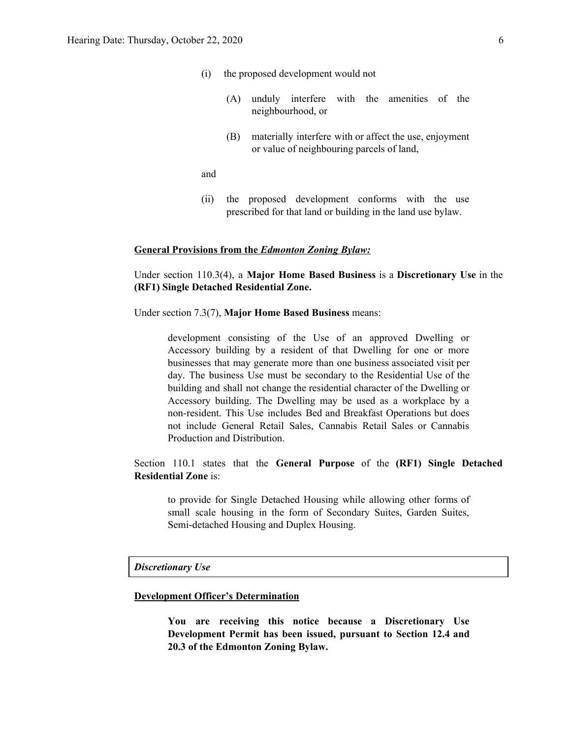- (i) the proposed development would not
	- (A) unduly interfere with the amenities of the neighbourhood, or
	- (B) materially interfere with or affect the use, enjoyment or value of neighbouring parcels of land,

and

(ii) the proposed development conforms with the use prescribed for that land or building in the land use bylaw.

#### **General Provisions from the** *Edmonton Zoning Bylaw:*

Under section 110.3(4), a **Major Home Based Business** is a **Discretionary Use** in the **(RF1) Single Detached Residential Zone.**

Under section 7.3(7), **Major Home Based Business** means:

development consisting of the Use of an approved Dwelling or Accessory building by a resident of that Dwelling for one or more businesses that may generate more than one business associated visit per day. The business Use must be secondary to the Residential Use of the building and shall not change the residential character of the Dwelling or Accessory building. The Dwelling may be used as a workplace by a non-resident. This Use includes Bed and Breakfast Operations but does not include General Retail Sales, Cannabis Retail Sales or Cannabis Production and Distribution.

Section 110.1 states that the **General Purpose** of the **(RF1) Single Detached Residential Zone** is:

to provide for Single Detached Housing while allowing other forms of small scale housing in the form of Secondary Suites, Garden Suites, Semi-detached Housing and Duplex Housing.

*Discretionary Use*

#### **Development Officer's Determination**

**You are receiving this notice because a Discretionary Use Development Permit has been issued, pursuant to Section 12.4 and 20.3 of the Edmonton Zoning Bylaw.**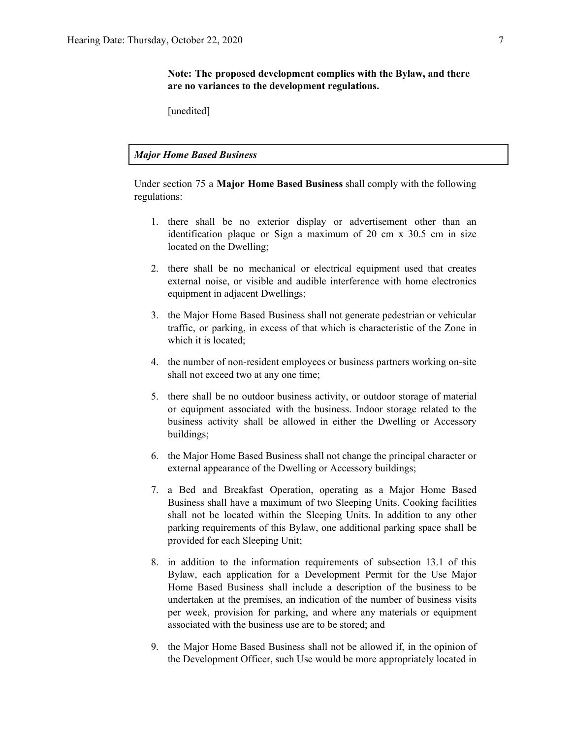[unedited]

*Major Home Based Business*

Under section 75 a **Major Home Based Business** shall comply with the following regulations:

- 1. there shall be no exterior display or advertisement other than an identification plaque or Sign a maximum of 20 cm x 30.5 cm in size located on the Dwelling;
- 2. there shall be no mechanical or electrical equipment used that creates external noise, or visible and audible interference with home electronics equipment in adjacent Dwellings;
- 3. the Major Home Based Business shall not generate pedestrian or vehicular traffic, or parking, in excess of that which is characteristic of the Zone in which it is located;
- 4. the number of non-resident employees or business partners working on-site shall not exceed two at any one time;
- 5. there shall be no outdoor business activity, or outdoor storage of material or equipment associated with the business. Indoor storage related to the business activity shall be allowed in either the Dwelling or Accessory buildings;
- 6. the Major Home Based Business shall not change the principal character or external appearance of the Dwelling or Accessory buildings;
- 7. a Bed and Breakfast Operation, operating as a Major Home Based Business shall have a maximum of two Sleeping Units. Cooking facilities shall not be located within the Sleeping Units. In addition to any other parking requirements of this Bylaw, one additional parking space shall be provided for each Sleeping Unit;
- 8. in addition to the information requirements of subsection 13.1 of this Bylaw, each application for a Development Permit for the Use Major Home Based Business shall include a description of the business to be undertaken at the premises, an indication of the number of business visits per week, provision for parking, and where any materials or equipment associated with the business use are to be stored; and
- 9. the Major Home Based Business shall not be allowed if, in the opinion of the Development Officer, such Use would be more appropriately located in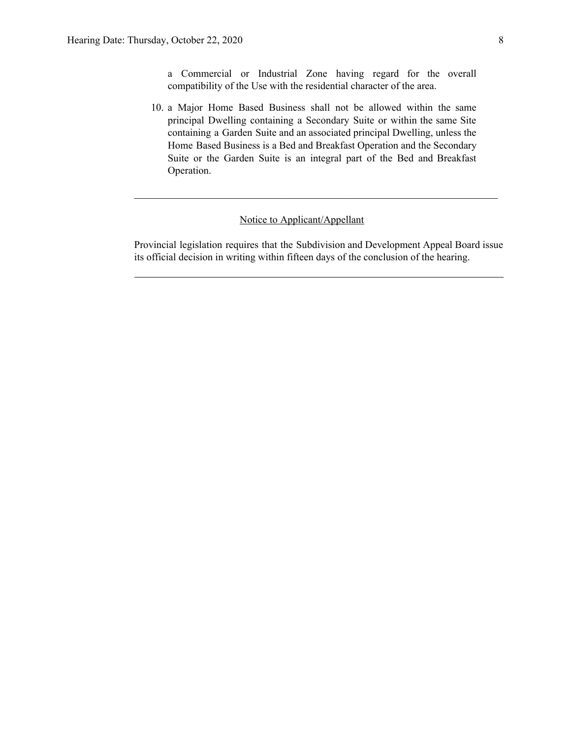a Commercial or Industrial Zone having regard for the overall compatibility of the Use with the residential character of the area.

10. a Major Home Based Business shall not be allowed within the same principal Dwelling containing a Secondary Suite or within the same Site containing a Garden Suite and an associated principal Dwelling, unless the Home Based Business is a Bed and Breakfast Operation and the Secondary Suite or the Garden Suite is an integral part of the Bed and Breakfast Operation.

#### Notice to Applicant/Appellant

Provincial legislation requires that the Subdivision and Development Appeal Board issue its official decision in writing within fifteen days of the conclusion of the hearing.

 $\mathcal{L}_\text{max}$  , and the contribution of the contribution of the contribution of the contribution of the contribution of the contribution of the contribution of the contribution of the contribution of the contribution of t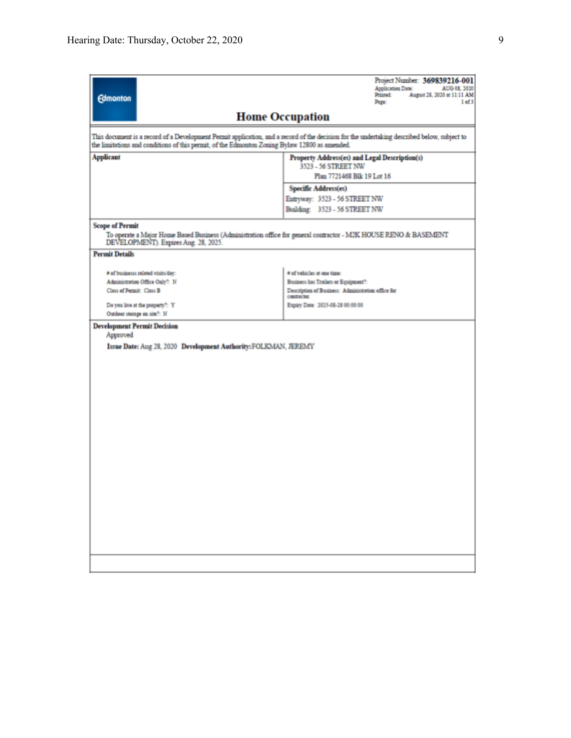| <b>Edmonton</b>                                                                                                                                                                                                                              | Project Number: 369839216-001<br>Application Date:<br>AUG 08, 2020<br>Printed:<br>August 28, 2020 at 11:11 AM<br>1 of 3<br>Page: |  |  |  |
|----------------------------------------------------------------------------------------------------------------------------------------------------------------------------------------------------------------------------------------------|----------------------------------------------------------------------------------------------------------------------------------|--|--|--|
|                                                                                                                                                                                                                                              | <b>Home Occupation</b>                                                                                                           |  |  |  |
| This document is a record of a Development Permit application, and a record of the decision for the undertaking described below, subject to<br>the limitations and conditions of this permit, of the Edmonton Zoning Bylaw 12800 as amended. |                                                                                                                                  |  |  |  |
| <b>Applicant</b>                                                                                                                                                                                                                             | Property Address(es) and Legal Description(s)<br>3523 - 56 STREET NW                                                             |  |  |  |
|                                                                                                                                                                                                                                              | Plan 7721468 Blk 19 Lot 16                                                                                                       |  |  |  |
|                                                                                                                                                                                                                                              | Specific Address(es)                                                                                                             |  |  |  |
|                                                                                                                                                                                                                                              | Entryway: 3523 - 56 STREET NW                                                                                                    |  |  |  |
|                                                                                                                                                                                                                                              | Building: 3523 - 56 STREET NW                                                                                                    |  |  |  |
| <b>Scope of Permit</b><br>DEVELOPMENT). Expires Aug. 28, 2025.                                                                                                                                                                               | To operate a Major Home Based Business (Administration office for general contractor - M2K HOUSE RENO & BASEMENT                 |  |  |  |
| <b>Permit Details</b>                                                                                                                                                                                                                        |                                                                                                                                  |  |  |  |
| # of businesss related visits/day:                                                                                                                                                                                                           | # of vehicles at one time:                                                                                                       |  |  |  |
| Administration Office Only?: N                                                                                                                                                                                                               | Business has Trailers or Equipment?:                                                                                             |  |  |  |
| Class of Permit: Class B                                                                                                                                                                                                                     | Description of Business: Administration office for<br>contractor.                                                                |  |  |  |
| Do you live at the property?: Y                                                                                                                                                                                                              | Expiry Date: 2025-08-28 00:00:00                                                                                                 |  |  |  |
| Outdoor storage on site?: N                                                                                                                                                                                                                  |                                                                                                                                  |  |  |  |
| <b>Development Permit Decision</b><br>Approved                                                                                                                                                                                               |                                                                                                                                  |  |  |  |
| Issue Date: Aug 28, 2020 Development Authority: FOLKMAN, JEREMY                                                                                                                                                                              |                                                                                                                                  |  |  |  |
|                                                                                                                                                                                                                                              |                                                                                                                                  |  |  |  |
|                                                                                                                                                                                                                                              |                                                                                                                                  |  |  |  |
|                                                                                                                                                                                                                                              |                                                                                                                                  |  |  |  |
|                                                                                                                                                                                                                                              |                                                                                                                                  |  |  |  |
|                                                                                                                                                                                                                                              |                                                                                                                                  |  |  |  |
|                                                                                                                                                                                                                                              |                                                                                                                                  |  |  |  |
|                                                                                                                                                                                                                                              |                                                                                                                                  |  |  |  |
|                                                                                                                                                                                                                                              |                                                                                                                                  |  |  |  |
|                                                                                                                                                                                                                                              |                                                                                                                                  |  |  |  |
|                                                                                                                                                                                                                                              |                                                                                                                                  |  |  |  |
|                                                                                                                                                                                                                                              |                                                                                                                                  |  |  |  |
|                                                                                                                                                                                                                                              |                                                                                                                                  |  |  |  |
|                                                                                                                                                                                                                                              |                                                                                                                                  |  |  |  |
|                                                                                                                                                                                                                                              |                                                                                                                                  |  |  |  |
|                                                                                                                                                                                                                                              |                                                                                                                                  |  |  |  |
|                                                                                                                                                                                                                                              |                                                                                                                                  |  |  |  |
|                                                                                                                                                                                                                                              |                                                                                                                                  |  |  |  |
|                                                                                                                                                                                                                                              |                                                                                                                                  |  |  |  |
|                                                                                                                                                                                                                                              |                                                                                                                                  |  |  |  |
|                                                                                                                                                                                                                                              |                                                                                                                                  |  |  |  |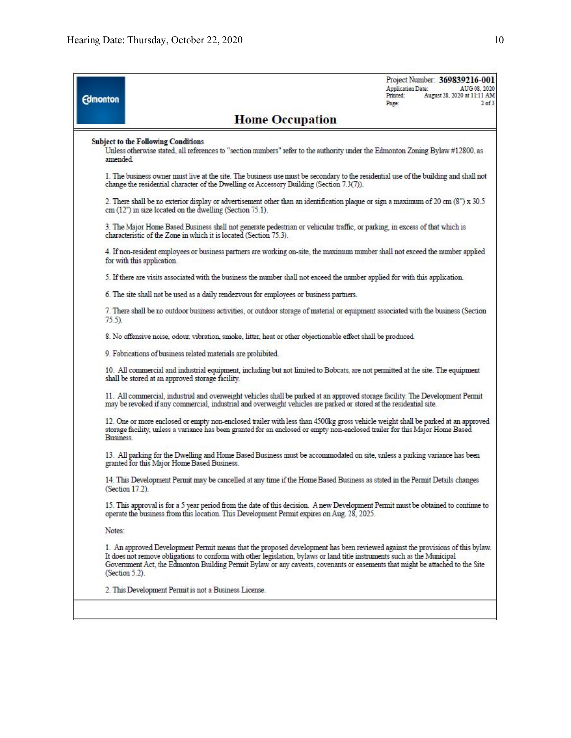| <b>Edmonton</b> | Project Number: 369839216-001<br>Application Date:<br>AUG 08, 2020<br>August 28, 2020 at 11:11 AM<br>Printed:<br>$2$ of $3$<br>Page:                                                                                                                                                                                                                                                                          |  |  |  |
|-----------------|---------------------------------------------------------------------------------------------------------------------------------------------------------------------------------------------------------------------------------------------------------------------------------------------------------------------------------------------------------------------------------------------------------------|--|--|--|
|                 | <b>Home Occupation</b>                                                                                                                                                                                                                                                                                                                                                                                        |  |  |  |
| amended.        | <b>Subject to the Following Conditions</b><br>Unless otherwise stated, all references to "section numbers" refer to the authority under the Edmonton Zoning Bylaw #12800, as                                                                                                                                                                                                                                  |  |  |  |
|                 | 1. The business owner must live at the site. The business use must be secondary to the residential use of the building and shall not<br>change the residential character of the Dwelling or Accessory Building (Section 7.3(7)).                                                                                                                                                                              |  |  |  |
|                 | 2. There shall be no exterior display or advertisement other than an identification plaque or sign a maximum of 20 cm (8") x 30.5<br>cm (12") in size located on the dwelling (Section 75.1).                                                                                                                                                                                                                 |  |  |  |
|                 | 3. The Major Home Based Business shall not generate pedestrian or vehicular traffic, or parking, in excess of that which is<br>characteristic of the Zone in which it is located (Section 75.3).                                                                                                                                                                                                              |  |  |  |
|                 | 4. If non-resident employees or business partners are working on-site, the maximum number shall not exceed the number applied<br>for with this application.                                                                                                                                                                                                                                                   |  |  |  |
|                 | 5. If there are visits associated with the business the number shall not exceed the number applied for with this application.                                                                                                                                                                                                                                                                                 |  |  |  |
|                 | 6. The site shall not be used as a daily rendezvous for employees or business partners.                                                                                                                                                                                                                                                                                                                       |  |  |  |
| $75.5$ ).       | 7. There shall be no outdoor business activities, or outdoor storage of material or equipment associated with the business (Section                                                                                                                                                                                                                                                                           |  |  |  |
|                 | 8. No offensive noise, odour, vibration, smoke, litter, heat or other objectionable effect shall be produced.                                                                                                                                                                                                                                                                                                 |  |  |  |
|                 | 9. Fabrications of business related materials are prohibited.                                                                                                                                                                                                                                                                                                                                                 |  |  |  |
|                 | 10. All commercial and industrial equipment, including but not limited to Bobcats, are not permitted at the site. The equipment<br>shall be stored at an approved storage facility.                                                                                                                                                                                                                           |  |  |  |
|                 | 11. All commercial, industrial and overweight vehicles shall be parked at an approved storage facility. The Development Permit<br>may be revoked if any commercial, industrial and overweight vehicles are parked or stored at the residential site.                                                                                                                                                          |  |  |  |
| Business.       | 12. One or more enclosed or empty non-enclosed trailer with less than 4500kg gross vehicle weight shall be parked at an approved<br>storage facility, unless a variance has been granted for an enclosed or empty non-enclosed trailer for this Major Home Based                                                                                                                                              |  |  |  |
|                 | 13. All parking for the Dwelling and Home Based Business must be accommodated on site, unless a parking variance has been<br>granted for this Major Home Based Business.                                                                                                                                                                                                                                      |  |  |  |
|                 | 14. This Development Permit may be cancelled at any time if the Home Based Business as stated in the Permit Details changes<br>(Section 17.2).                                                                                                                                                                                                                                                                |  |  |  |
|                 | 15. This approval is for a 5 year period from the date of this decision. A new Development Permit must be obtained to continue to<br>operate the business from this location. This Development Permit expires on Aug. 28, 2025.                                                                                                                                                                               |  |  |  |
| Notes:          |                                                                                                                                                                                                                                                                                                                                                                                                               |  |  |  |
|                 | 1. An approved Development Permit means that the proposed development has been reviewed against the provisions of this bylaw.<br>It does not remove obligations to conform with other legislation, bylaws or land title instruments such as the Municipal<br>Government Act, the Edmonton Building Permit Bylaw or any caveats, covenants or easements that might be attached to the Site<br>$(Secton 5.2)$ . |  |  |  |
|                 | 2. This Development Permit is not a Business License.                                                                                                                                                                                                                                                                                                                                                         |  |  |  |
|                 |                                                                                                                                                                                                                                                                                                                                                                                                               |  |  |  |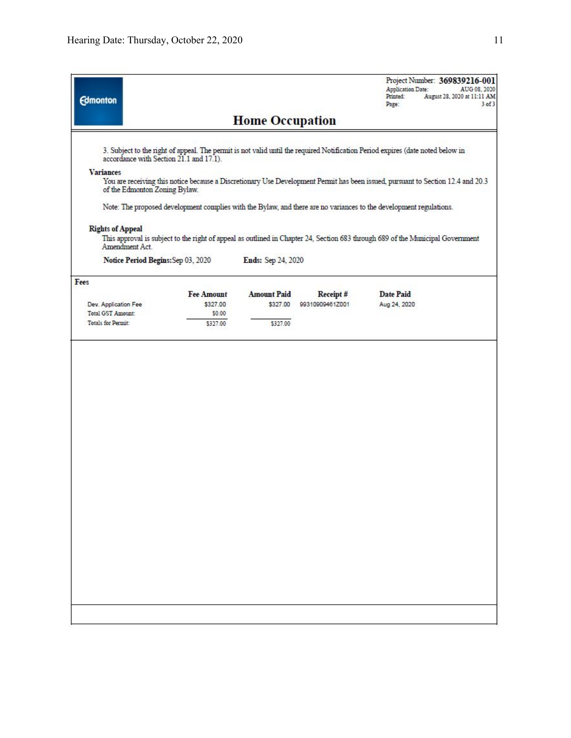| <b>Edmonton</b>                                   |                               |                                |                             | Project Number: 369839216-001<br>Application Date:<br>AUG 08, 2020<br>Printed:<br>August 28, 2020 at 11:11 AM<br>Page:<br>$3$ of $3$ |  |
|---------------------------------------------------|-------------------------------|--------------------------------|-----------------------------|--------------------------------------------------------------------------------------------------------------------------------------|--|
|                                                   | <b>Home Occupation</b>        |                                |                             |                                                                                                                                      |  |
| accordance with Section 21.1 and 17.1).           |                               |                                |                             | 3. Subject to the right of appeal. The permit is not valid until the required Notification Period expires (date noted below in       |  |
| <b>Variances</b><br>of the Edmonton Zoning Bylaw. |                               |                                |                             | You are receiving this notice because a Discretionary Use Development Permit has been issued, pursuant to Section 12.4 and 20.3      |  |
|                                                   |                               |                                |                             | Note: The proposed development complies with the Bylaw, and there are no variances to the development regulations.                   |  |
| <b>Rights of Appeal</b><br>Amendment Act.         |                               |                                |                             | This approval is subject to the right of appeal as outlined in Chapter 24, Section 683 through 689 of the Municipal Government       |  |
| Notice Period Begins: Sep 03, 2020                |                               | Ends: Sep 24, 2020             |                             |                                                                                                                                      |  |
| Fees                                              |                               |                                |                             |                                                                                                                                      |  |
| Dev. Application Fee                              | <b>Fee Amount</b><br>\$327.00 | <b>Amount Paid</b><br>\$327.00 | Receipt#<br>99310909461Z001 | <b>Date Paid</b><br>Aug 24, 2020                                                                                                     |  |
| Total GST Amount:                                 | \$0.00                        |                                |                             |                                                                                                                                      |  |
| Totals for Permit:                                | \$327.00                      | \$327.00                       |                             |                                                                                                                                      |  |
|                                                   |                               |                                |                             |                                                                                                                                      |  |
|                                                   |                               |                                |                             |                                                                                                                                      |  |
|                                                   |                               |                                |                             |                                                                                                                                      |  |
|                                                   |                               |                                |                             |                                                                                                                                      |  |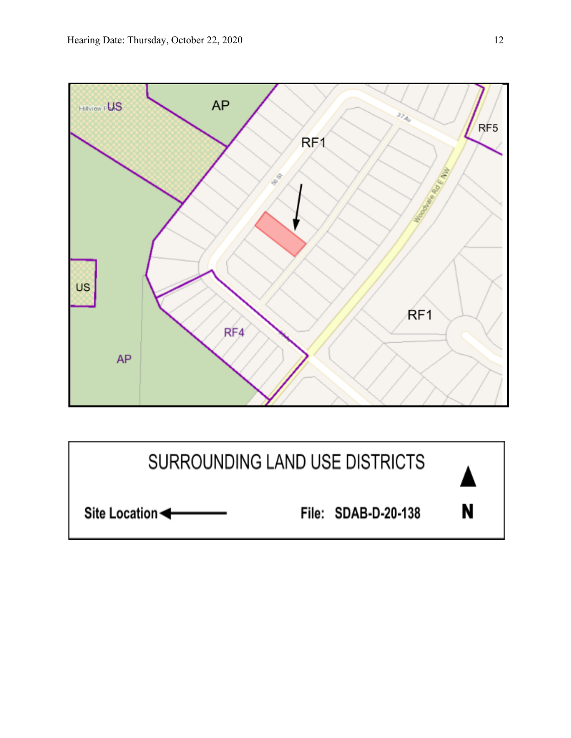

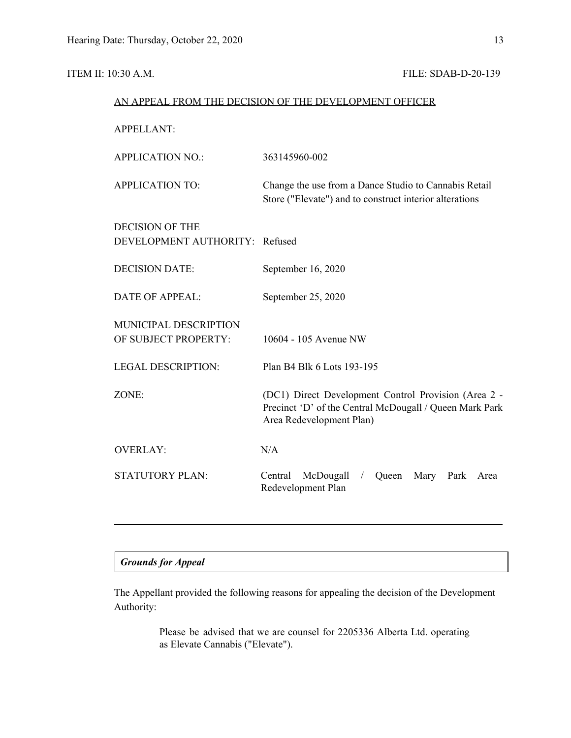## ITEM II: 10:30 A.M. FILE: SDAB-D-20-139

| AN APPEAL FROM THE DECISION OF THE DEVELOPMENT OFFICER   |                                                                                                                                             |  |  |
|----------------------------------------------------------|---------------------------------------------------------------------------------------------------------------------------------------------|--|--|
| <b>APPELLANT:</b>                                        |                                                                                                                                             |  |  |
| <b>APPLICATION NO.:</b>                                  | 363145960-002                                                                                                                               |  |  |
| <b>APPLICATION TO:</b>                                   | Change the use from a Dance Studio to Cannabis Retail<br>Store ("Elevate") and to construct interior alterations                            |  |  |
| <b>DECISION OF THE</b><br>DEVELOPMENT AUTHORITY: Refused |                                                                                                                                             |  |  |
| <b>DECISION DATE:</b>                                    | September 16, 2020                                                                                                                          |  |  |
| <b>DATE OF APPEAL:</b>                                   | September 25, 2020                                                                                                                          |  |  |
| MUNICIPAL DESCRIPTION<br>OF SUBJECT PROPERTY:            | 10604 - 105 Avenue NW                                                                                                                       |  |  |
| <b>LEGAL DESCRIPTION:</b>                                | Plan B4 Blk 6 Lots 193-195                                                                                                                  |  |  |
| ZONE:                                                    | (DC1) Direct Development Control Provision (Area 2 -<br>Precinct 'D' of the Central McDougall / Queen Mark Park<br>Area Redevelopment Plan) |  |  |
| <b>OVERLAY:</b>                                          | N/A                                                                                                                                         |  |  |
| <b>STATUTORY PLAN:</b>                                   | Central<br>McDougall<br>Queen<br>Mary<br>Park<br>Area<br>$\sqrt{2}$<br>Redevelopment Plan                                                   |  |  |
|                                                          |                                                                                                                                             |  |  |

## *Grounds for Appeal*

The Appellant provided the following reasons for appealing the decision of the Development Authority:

> Please be advised that we are counsel for 2205336 Alberta Ltd. operating as Elevate Cannabis ("Elevate").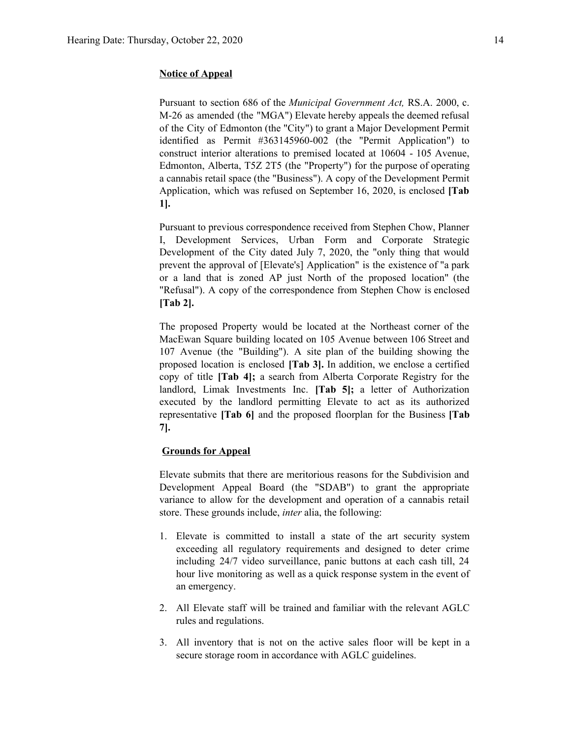#### **Notice of Appeal**

Pursuant to section 686 of the *Municipal Government Act,* RS.A. 2000, c. M-26 as amended (the "MGA") Elevate hereby appeals the deemed refusal of the City of Edmonton (the "City") to grant a Major Development Permit identified as Permit #363145960-002 (the "Permit Application") to construct interior alterations to premised located at 10604 - 105 Avenue, Edmonton, Alberta, T5Z 2T5 (the "Property") for the purpose of operating a cannabis retail space (the "Business"). A copy of the Development Permit Application, which was refused on September 16, 2020, is enclosed **[Tab 1].**

Pursuant to previous correspondence received from Stephen Chow, Planner I, Development Services, Urban Form and Corporate Strategic Development of the City dated July 7, 2020, the "only thing that would prevent the approval of [Elevate's] Application" is the existence of "a park or a land that is zoned AP just North of the proposed location" (the "Refusal"). A copy of the correspondence from Stephen Chow is enclosed **[Tab 2].**

The proposed Property would be located at the Northeast corner of the MacEwan Square building located on 105 Avenue between 106 Street and 107 Avenue (the "Building"). A site plan of the building showing the proposed location is enclosed **[Tab 3].** In addition, we enclose a certified copy of title **[Tab 4];** a search from Alberta Corporate Registry for the landlord, Limak Investments Inc. **[Tab 5];** a letter of Authorization executed by the landlord permitting Elevate to act as its authorized representative **[Tab 6]** and the proposed floorplan for the Business **[Tab 7].**

#### **Grounds for Appeal**

Elevate submits that there are meritorious reasons for the Subdivision and Development Appeal Board (the "SDAB") to grant the appropriate variance to allow for the development and operation of a cannabis retail store. These grounds include, *inter* alia, the following:

- 1. Elevate is committed to install a state of the art security system exceeding all regulatory requirements and designed to deter crime including 24/7 video surveillance, panic buttons at each cash till, 24 hour live monitoring as well as a quick response system in the event of an emergency.
- 2. All Elevate staff will be trained and familiar with the relevant AGLC rules and regulations.
- 3. All inventory that is not on the active sales floor will be kept in a secure storage room in accordance with AGLC guidelines.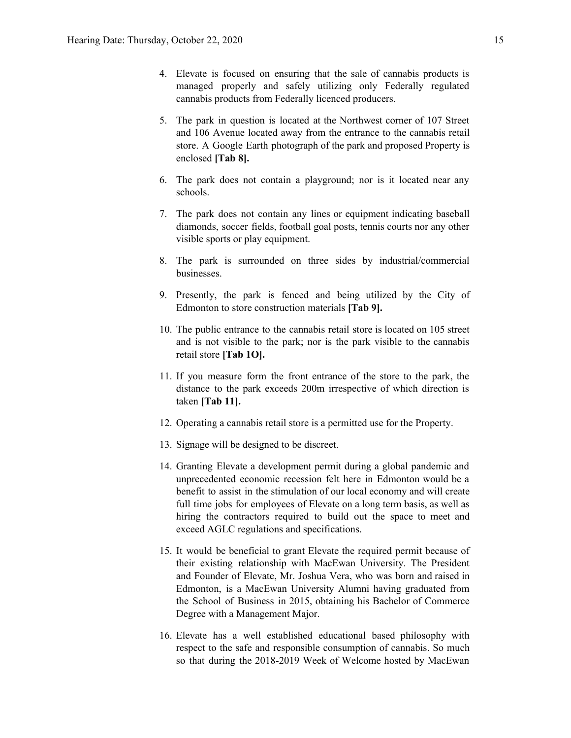- 4. Elevate is focused on ensuring that the sale of cannabis products is managed properly and safely utilizing only Federally regulated cannabis products from Federally licenced producers.
- 5. The park in question is located at the Northwest corner of 107 Street and 106 Avenue located away from the entrance to the cannabis retail store. A Google Earth photograph of the park and proposed Property is enclosed **[Tab 8].**
- 6. The park does not contain a playground; nor is it located near any schools.
- 7. The park does not contain any lines or equipment indicating baseball diamonds, soccer fields, football goal posts, tennis courts nor any other visible sports or play equipment.
- 8. The park is surrounded on three sides by industrial/commercial businesses.
- 9. Presently, the park is fenced and being utilized by the City of Edmonton to store construction materials **[Tab 9].**
- 10. The public entrance to the cannabis retail store is located on 105 street and is not visible to the park; nor is the park visible to the cannabis retail store **[Tab 1O].**
- 11. If you measure form the front entrance of the store to the park, the distance to the park exceeds 200m irrespective of which direction is taken **[Tab 11].**
- 12. Operating a cannabis retail store is a permitted use for the Property.
- 13. Signage will be designed to be discreet.
- 14. Granting Elevate a development permit during a global pandemic and unprecedented economic recession felt here in Edmonton would be a benefit to assist in the stimulation of our local economy and will create full time jobs for employees of Elevate on a long term basis, as well as hiring the contractors required to build out the space to meet and exceed AGLC regulations and specifications.
- 15. It would be beneficial to grant Elevate the required permit because of their existing relationship with MacEwan University. The President and Founder of Elevate, Mr. Joshua Vera, who was born and raised in Edmonton, is a MacEwan University Alumni having graduated from the School of Business in 2015, obtaining his Bachelor of Commerce Degree with a Management Major.
- 16. Elevate has a well established educational based philosophy with respect to the safe and responsible consumption of cannabis. So much so that during the 2018-2019 Week of Welcome hosted by MacEwan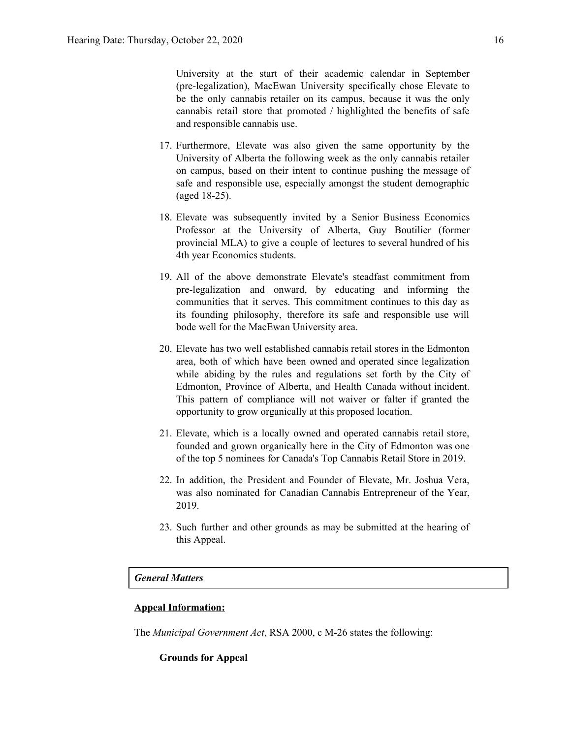University at the start of their academic calendar in September (pre-legalization), MacEwan University specifically chose Elevate to be the only cannabis retailer on its campus, because it was the only cannabis retail store that promoted / highlighted the benefits of safe and responsible cannabis use.

- 17. Furthermore, Elevate was also given the same opportunity by the University of Alberta the following week as the only cannabis retailer on campus, based on their intent to continue pushing the message of safe and responsible use, especially amongst the student demographic (aged 18-25).
- 18. Elevate was subsequently invited by a Senior Business Economics Professor at the University of Alberta, Guy Boutilier (former provincial MLA) to give a couple of lectures to several hundred of his 4th year Economics students.
- 19. All of the above demonstrate Elevate's steadfast commitment from pre-legalization and onward, by educating and informing the communities that it serves. This commitment continues to this day as its founding philosophy, therefore its safe and responsible use will bode well for the MacEwan University area.
- 20. Elevate has two well established cannabis retail stores in the Edmonton area, both of which have been owned and operated since legalization while abiding by the rules and regulations set forth by the City of Edmonton, Province of Alberta, and Health Canada without incident. This pattern of compliance will not waiver or falter if granted the opportunity to grow organically at this proposed location.
- 21. Elevate, which is a locally owned and operated cannabis retail store, founded and grown organically here in the City of Edmonton was one of the top 5 nominees for Canada's Top Cannabis Retail Store in 2019.
- 22. In addition, the President and Founder of Elevate, Mr. Joshua Vera, was also nominated for Canadian Cannabis Entrepreneur of the Year, 2019.
- 23. Such further and other grounds as may be submitted at the hearing of this Appeal.

#### *General Matters*

#### **Appeal Information:**

The *Municipal Government Act*, RSA 2000, c M-26 states the following:

#### **Grounds for Appeal**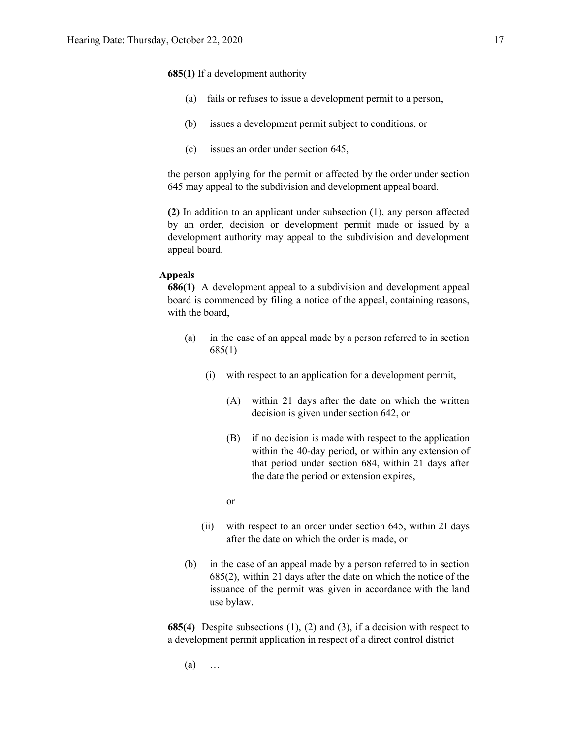**685(1)** If a development authority

- (a) fails or refuses to issue a development permit to a person,
- (b) issues a development permit subject to conditions, or
- (c) issues an order under section 645,

the person applying for the permit or affected by the order under section 645 may appeal to the subdivision and development appeal board.

**(2)** In addition to an applicant under subsection (1), any person affected by an order, decision or development permit made or issued by a development authority may appeal to the subdivision and development appeal board.

#### **Appeals**

**686(1)** A development appeal to a subdivision and development appeal board is commenced by filing a notice of the appeal, containing reasons, with the board,

- (a) in the case of an appeal made by a person referred to in section 685(1)
	- (i) with respect to an application for a development permit,
		- (A) within 21 days after the date on which the written decision is given under section 642, or
		- (B) if no decision is made with respect to the application within the 40-day period, or within any extension of that period under section 684, within 21 days after the date the period or extension expires,

or

- (ii) with respect to an order under section 645, within 21 days after the date on which the order is made, or
- (b) in the case of an appeal made by a person referred to in section 685(2), within 21 days after the date on which the notice of the issuance of the permit was given in accordance with the land use bylaw.

**685(4)** Despite subsections (1), (2) and (3), if a decision with respect to a development permit application in respect of a direct control district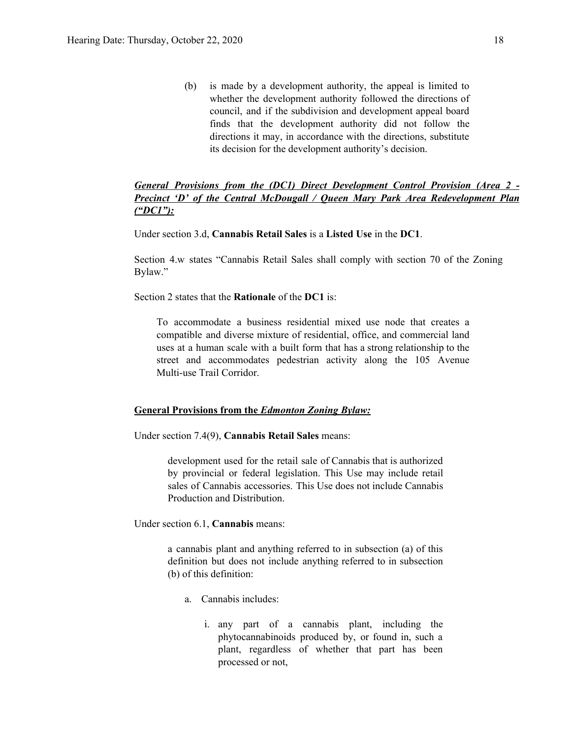(b) is made by a development authority, the appeal is limited to whether the development authority followed the directions of council, and if the subdivision and development appeal board finds that the development authority did not follow the directions it may, in accordance with the directions, substitute its decision for the development authority's decision.

## *General Provisions from the (DC1) Direct Development Control Provision (Area 2 - Precinct 'D' of the Central McDougall / Queen Mary Park Area Redevelopment Plan ("DC1"):*

Under section 3.d, **Cannabis Retail Sales** is a **Listed Use** in the **DC1**.

Section 4.w states "Cannabis Retail Sales shall comply with section 70 of the Zoning Bylaw."

Section 2 states that the **Rationale** of the **DC1** is:

To accommodate a business residential mixed use node that creates a compatible and diverse mixture of residential, office, and commercial land uses at a human scale with a built form that has a strong relationship to the street and accommodates pedestrian activity along the 105 Avenue Multi-use Trail Corridor.

#### **General Provisions from the** *Edmonton Zoning Bylaw:*

Under section 7.4(9), **Cannabis Retail Sales** means:

development used for the retail sale of Cannabis that is authorized by provincial or federal legislation. This Use may include retail sales of Cannabis accessories. This Use does not include Cannabis Production and Distribution.

Under section 6.1, **Cannabis** means:

a cannabis plant and anything referred to in subsection (a) of this definition but does not include anything referred to in subsection (b) of this definition:

- a. Cannabis includes:
	- i. any part of a cannabis plant, including the phytocannabinoids produced by, or found in, such a plant, regardless of whether that part has been processed or not,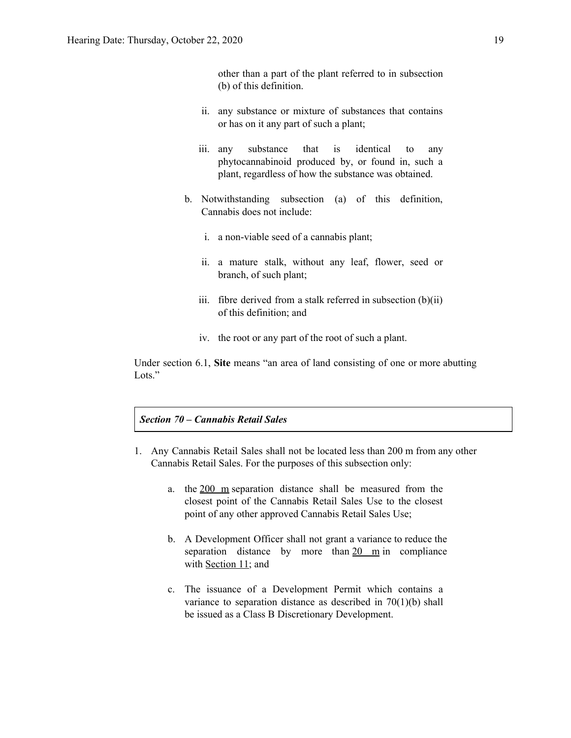other than a part of the plant referred to in subsection (b) of this definition.

- ii. any substance or mixture of substances that contains or has on it any part of such a plant;
- iii. any substance that is identical to any phytocannabinoid produced by, or found in, such a plant, regardless of how the substance was obtained.
- b. Notwithstanding subsection (a) of this definition, Cannabis does not include:
	- i. a non-viable seed of a cannabis plant;
	- ii. a mature stalk, without any leaf, flower, seed or branch, of such plant;
	- iii. fibre derived from a stalk referred in subsection  $(b)(ii)$ of this definition; and
	- iv. the root or any part of the root of such a plant.

Under section 6.1, **Site** means "an area of land consisting of one or more abutting Lots."

#### *Section 70 – Cannabis Retail Sales*

- 1. Any Cannabis Retail Sales shall not be located less than 200 m from any other Cannabis Retail Sales. For the purposes of this subsection only:
	- a. the 200 m separation distance shall be measured from the closest point of the Cannabis Retail Sales Use to the closest point of any other approved Cannabis Retail Sales Use;
	- b. A Development Officer shall not grant a variance to reduce the separation distance by more than  $20 \text{ m}$  in compliance with [Section](https://webdocs.edmonton.ca/InfraPlan/zoningbylaw/ZoningBylaw/Part1/Administrative/11__Authority_and_Responsibility_of_the_Development_Officer.htm) 11; and
	- c. The issuance of a Development Permit which contains a variance to separation distance as described in 70(1)(b) shall be issued as a Class B Discretionary Development.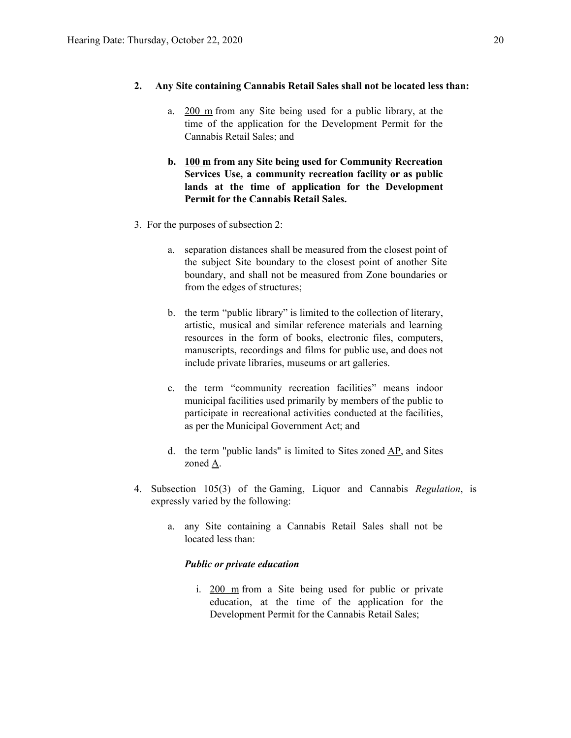#### **2. Any Site containing Cannabis Retail Sales shall not be located less than:**

- a. 200 m from any Site being used for a public library, at the time of the application for the Development Permit for the Cannabis Retail Sales; and
- **b. 100 m from any Site being used for Community Recreation Services Use, a community recreation facility or as public lands at the time of application for the Development Permit for the Cannabis Retail Sales.**
- 3. For the purposes of subsection 2:
	- a. separation distances shall be measured from the closest point of the subject Site boundary to the closest point of another Site boundary, and shall not be measured from Zone boundaries or from the edges of structures;
	- b. the term "public library" is limited to the collection of literary, artistic, musical and similar reference materials and learning resources in the form of books, electronic files, computers, manuscripts, recordings and films for public use, and does not include private libraries, museums or art galleries.
	- c. the term "community recreation facilities" means indoor municipal facilities used primarily by members of the public to participate in recreational activities conducted at the facilities, as per the Municipal Government Act; and
	- d. the term "public lands" is limited to Sites zoned  $\underline{AP}$ , and Sites zoned [A.](https://webdocs.edmonton.ca/InfraPlan/zoningbylaw/ZoningBylaw/Part2/Urban/540_(A)_Metropolitan_Recreation_Zone.htm)
- 4. Subsection 105(3) of the Gaming, Liquor and Cannabis *Regulation*, is expressly varied by the following:
	- a. any Site containing a Cannabis Retail Sales shall not be located less than:

#### *Public or private education*

i. 200 m from a Site being used for public or private education, at the time of the application for the Development Permit for the Cannabis Retail Sales;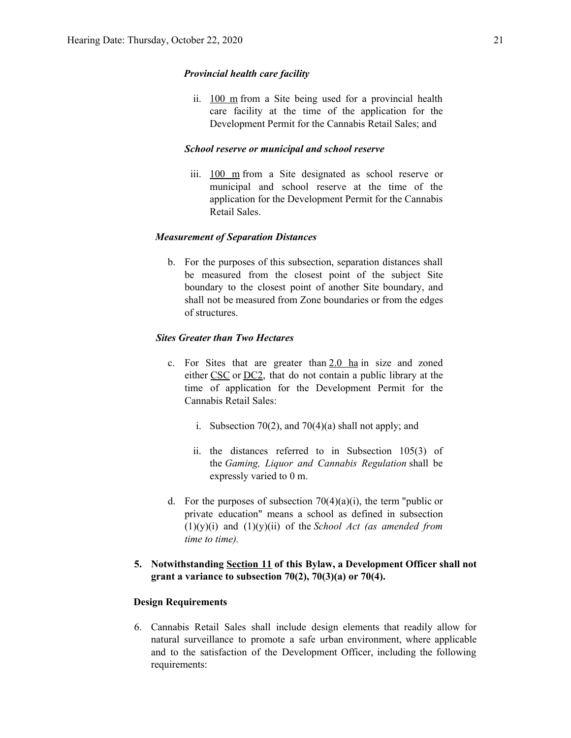#### *Provincial health care facility*

ii. 100 m from a Site being used for a provincial health care facility at the time of the application for the Development Permit for the Cannabis Retail Sales; and

#### *School reserve or municipal and school reserve*

iii. 100 m from a Site designated as school reserve or municipal and school reserve at the time of the application for the Development Permit for the Cannabis Retail Sales.

### *Measurement of Separation Distances*

b. For the purposes of this subsection, separation distances shall be measured from the closest point of the subject Site boundary to the closest point of another Site boundary, and shall not be measured from Zone boundaries or from the edges of structures.

#### *Sites Greater than Two Hectares*

- c. For Sites that are greater than  $2.0$  ha in size and zoned either [CSC](https://webdocs.edmonton.ca/InfraPlan/zoningbylaw/ZoningBylaw/Part2/Commercial/320_(CSC)_Shopping_Centre_Zone.htm) or [DC2,](https://webdocs.edmonton.ca/InfraPlan/zoningbylaw/ZoningBylaw/Part2/Direct/720_(DC2)_Site_Specific_Development_Control_Provision.htm) that do not contain a public library at the time of application for the Development Permit for the Cannabis Retail Sales:
	- i. Subsection 70(2), and 70(4)(a) shall not apply; and
	- ii. the distances referred to in Subsection 105(3) of the *Gaming, Liquor and Cannabis Regulation* shall be expressly varied to 0 m.
- d. For the purposes of subsection  $70(4)(a)(i)$ , the term "public or private education" means a school as defined in subsection (1)(y)(i) and (1)(y)(ii) of the *School Act (as amended from time to time).*

### **5. Notwithstanding [Section](https://webdocs.edmonton.ca/InfraPlan/zoningbylaw/ZoningBylaw/Part1/Administrative/11__Authority_and_Responsibility_of_the_Development_Officer.htm) 11 of this Bylaw, a Development Officer shall not grant a variance to subsection 70(2), 70(3)(a) or 70(4).**

#### **Design Requirements**

6. Cannabis Retail Sales shall include design elements that readily allow for natural surveillance to promote a safe urban environment, where applicable and to the satisfaction of the Development Officer, including the following requirements: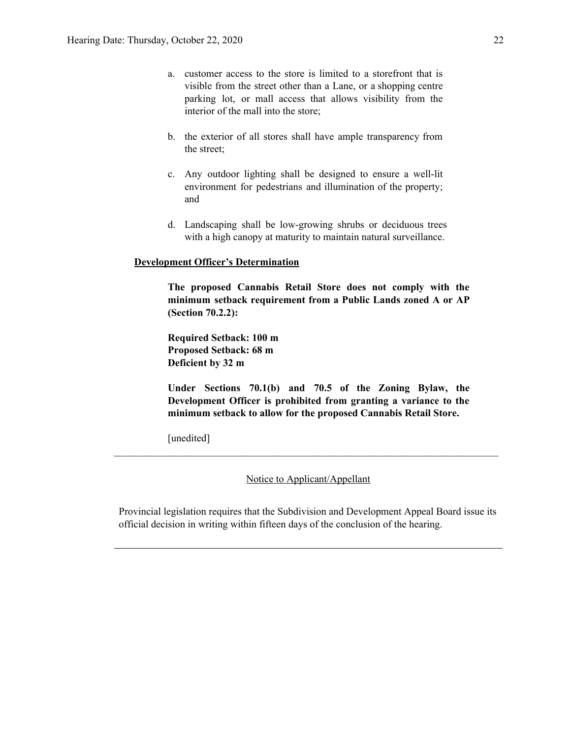- a. customer access to the store is limited to a storefront that is visible from the street other than a Lane, or a shopping centre parking lot, or mall access that allows visibility from the interior of the mall into the store;
- b. the exterior of all stores shall have ample transparency from the street;
- c. Any outdoor lighting shall be designed to ensure a well-lit environment for pedestrians and illumination of the property; and
- d. Landscaping shall be low-growing shrubs or deciduous trees with a high canopy at maturity to maintain natural surveillance.

#### **Development Officer's Determination**

**The proposed Cannabis Retail Store does not comply with the minimum setback requirement from a Public Lands zoned A or AP (Section 70.2.2):**

**Required Setback: 100 m Proposed Setback: 68 m Deficient by 32 m**

**Under Sections 70.1(b) and 70.5 of the Zoning Bylaw, the Development Officer is prohibited from granting a variance to the minimum setback to allow for the proposed Cannabis Retail Store.**

[unedited]

Notice to Applicant/Appellant

 $\mathcal{L}_\text{max} = \frac{1}{2} \sum_{i=1}^n \mathcal{L}_\text{max} = \frac{1}{2} \sum_{i=1}^n \mathcal{L}_\text{max} = \frac{1}{2} \sum_{i=1}^n \mathcal{L}_\text{max} = \frac{1}{2} \sum_{i=1}^n \mathcal{L}_\text{max} = \frac{1}{2} \sum_{i=1}^n \mathcal{L}_\text{max} = \frac{1}{2} \sum_{i=1}^n \mathcal{L}_\text{max} = \frac{1}{2} \sum_{i=1}^n \mathcal{L}_\text{max} = \frac{1}{2} \sum_{i=$ 

Provincial legislation requires that the Subdivision and Development Appeal Board issue its official decision in writing within fifteen days of the conclusion of the hearing.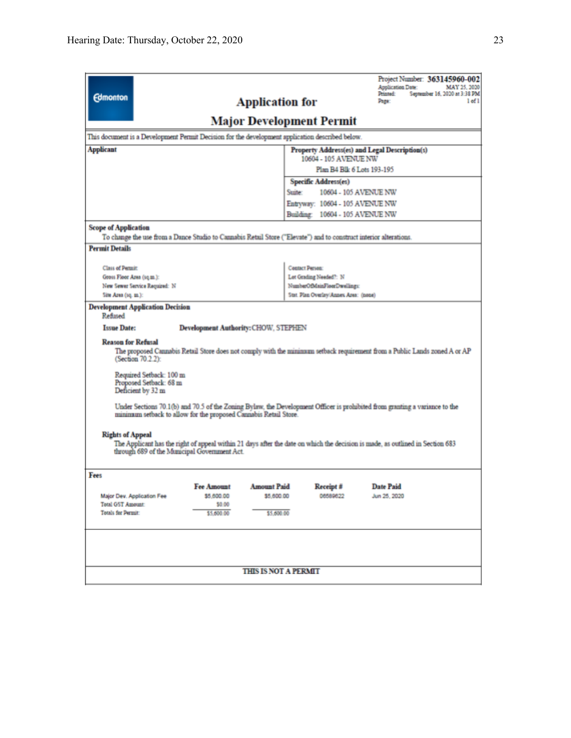| <b>Edmonton</b><br><b>Application for</b>                                                                                                                                                                                                                                                                                                                                                                                                                                                                                                                                                                     | Project Number: 363145960-002<br><b>Application Date:</b><br>MAY 25, 2020<br>Printed:<br>September 16, 2020 at 3:38 PM<br>$1$ of $1$<br>Page: |  |  |  |  |
|---------------------------------------------------------------------------------------------------------------------------------------------------------------------------------------------------------------------------------------------------------------------------------------------------------------------------------------------------------------------------------------------------------------------------------------------------------------------------------------------------------------------------------------------------------------------------------------------------------------|-----------------------------------------------------------------------------------------------------------------------------------------------|--|--|--|--|
| <b>Major Development Permit</b>                                                                                                                                                                                                                                                                                                                                                                                                                                                                                                                                                                               |                                                                                                                                               |  |  |  |  |
| This document is a Development Permit Decision for the development application described below.                                                                                                                                                                                                                                                                                                                                                                                                                                                                                                               |                                                                                                                                               |  |  |  |  |
| Applicant<br>Property Address(es) and Legal Description(s)                                                                                                                                                                                                                                                                                                                                                                                                                                                                                                                                                    |                                                                                                                                               |  |  |  |  |
|                                                                                                                                                                                                                                                                                                                                                                                                                                                                                                                                                                                                               | 10604 - 105 AVENUE NW                                                                                                                         |  |  |  |  |
|                                                                                                                                                                                                                                                                                                                                                                                                                                                                                                                                                                                                               | Plan B4 Blk 6 Lots 193-195                                                                                                                    |  |  |  |  |
|                                                                                                                                                                                                                                                                                                                                                                                                                                                                                                                                                                                                               | Specific Address(es)                                                                                                                          |  |  |  |  |
|                                                                                                                                                                                                                                                                                                                                                                                                                                                                                                                                                                                                               | 10604 - 105 AVENUE NW<br>Suite:                                                                                                               |  |  |  |  |
|                                                                                                                                                                                                                                                                                                                                                                                                                                                                                                                                                                                                               | Entryway: 10604 - 105 AVENUE NW                                                                                                               |  |  |  |  |
|                                                                                                                                                                                                                                                                                                                                                                                                                                                                                                                                                                                                               | Building: 10604 - 105 AVENUE NW                                                                                                               |  |  |  |  |
| <b>Scope of Application</b><br>To change the use from a Dance Studio to Cannabis Retail Store ("Elevate") and to construct interior alterations.                                                                                                                                                                                                                                                                                                                                                                                                                                                              |                                                                                                                                               |  |  |  |  |
| <b>Permit Details</b>                                                                                                                                                                                                                                                                                                                                                                                                                                                                                                                                                                                         |                                                                                                                                               |  |  |  |  |
|                                                                                                                                                                                                                                                                                                                                                                                                                                                                                                                                                                                                               |                                                                                                                                               |  |  |  |  |
| <b>Class of Permit:</b>                                                                                                                                                                                                                                                                                                                                                                                                                                                                                                                                                                                       | <b>Contact Person:</b>                                                                                                                        |  |  |  |  |
| Gross Floor Area (sq.m.):<br>New Sewer Service Required: N                                                                                                                                                                                                                                                                                                                                                                                                                                                                                                                                                    | Lot Grading Needed?: N<br>NumberOfMainFloorDwellings:                                                                                         |  |  |  |  |
| Site Area (sq. m.):                                                                                                                                                                                                                                                                                                                                                                                                                                                                                                                                                                                           | Stat. Plan Overlay/Annex Area: (none)                                                                                                         |  |  |  |  |
| <b>Development Application Decision</b><br>Refined<br><b>Issue Date:</b><br><b>Development Authority: CHOW, STEPHEN</b><br><b>Reason for Refusal</b><br>The proposed Cannabis Retail Store does not comply with the minimum setback requirement from a Public Lands zoned A or AP<br>(Section 70.2.2):<br>Required Setback: 100 m<br>Proposed Setback: 68 m<br>Deficient by 32 m<br>Under Sections 70.1(b) and 70.5 of the Zoning Bylaw, the Development Officer is prohibited from granting a variance to the<br>minimum setback to allow for the proposed Cannabis Retail Store.<br><b>Rights of Appeal</b> |                                                                                                                                               |  |  |  |  |
| The Applicant has the right of appeal within 21 days after the date on which the decision is made, as outlined in Section 683<br>through 689 of the Municipal Government Act.                                                                                                                                                                                                                                                                                                                                                                                                                                 |                                                                                                                                               |  |  |  |  |
| Fees<br>Fee Amount Amount Paid<br>Major Dev. Application Fee<br>\$5,600.00<br>\$5,600.00<br><b>Total G5T Amount:</b><br>\$0.00<br>Totals for Permit:<br>\$5,600.00<br>\$5,600.00                                                                                                                                                                                                                                                                                                                                                                                                                              | Receipt #<br><b>Date Paid</b><br>06589622<br>Jun 25, 2020                                                                                     |  |  |  |  |
| <b>THIS IS NOT A PERMIT</b>                                                                                                                                                                                                                                                                                                                                                                                                                                                                                                                                                                                   |                                                                                                                                               |  |  |  |  |